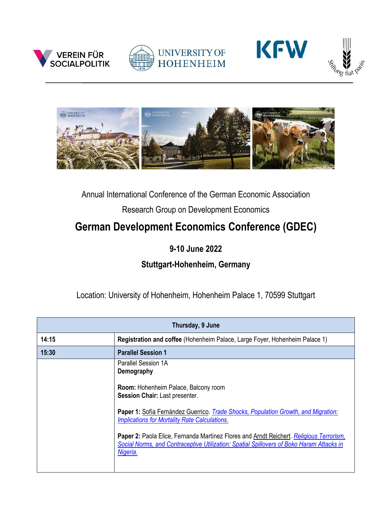









## Annual International Conference of the German Economic Association

Research Group on Development Economics

## **German Development Economics Conference (GDEC)**

## **9-10 June 2022**

## **Stuttgart-Hohenheim, Germany**

Location: University of Hohenheim, Hohenheim Palace 1, 70599 Stuttgart

| Thursday, 9 June |                                                                                                                                                                                                 |
|------------------|-------------------------------------------------------------------------------------------------------------------------------------------------------------------------------------------------|
| 14:15            | Registration and coffee (Hohenheim Palace, Large Foyer, Hohenheim Palace 1)                                                                                                                     |
| 15:30            | <b>Parallel Session 1</b>                                                                                                                                                                       |
|                  | Parallel Session 1A<br>Demography                                                                                                                                                               |
|                  | <b>Room:</b> Hohenheim Palace, Balcony room<br>Session Chair: Last presenter.                                                                                                                   |
|                  | Paper 1: Sofía Fernández Guerrico. Trade Shocks, Population Growth, and Migration:<br><b>Implications for Mortality Rate Calculations.</b>                                                      |
|                  | Paper 2: Paola Elice, Fernanda Martínez Flores and Arndt Reichert. Religious Terrorism,<br>Social Norms, and Contraceptive Utilization: Spatial Spillovers of Boko Haram Attacks in<br>Nigeria. |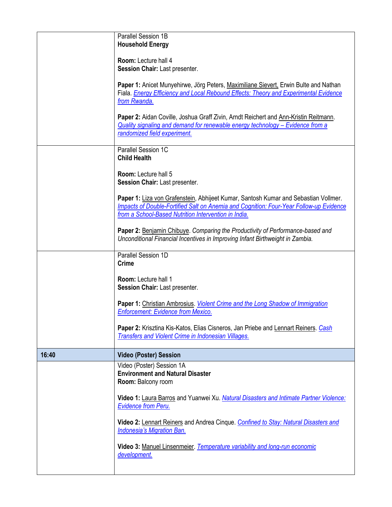|       | Parallel Session 1B<br><b>Household Energy</b>                                                                                                                                                                                        |
|-------|---------------------------------------------------------------------------------------------------------------------------------------------------------------------------------------------------------------------------------------|
|       | Room: Lecture hall 4<br>Session Chair: Last presenter.                                                                                                                                                                                |
|       | Paper 1: Anicet Munyehirwe, Jörg Peters, Maximiliane Sievert, Erwin Bulte and Nathan<br>Fiala. <b>Energy Efficiency and Local Rebound Effects: Theory and Experimental Evidence</b><br>from Rwanda.                                   |
|       | Paper 2: Aidan Coville, Joshua Graff Zivin, Arndt Reichert and Ann-Kristin Reitmann.<br>Quality signaling and demand for renewable energy technology - Evidence from a<br>randomized field experiment.                                |
|       | Parallel Session 1C<br><b>Child Health</b>                                                                                                                                                                                            |
|       | Room: Lecture hall 5<br>Session Chair: Last presenter.                                                                                                                                                                                |
|       | Paper 1: Liza von Grafenstein, Abhijeet Kumar, Santosh Kumar and Sebastian Vollmer.<br>Impacts of Double-Fortified Salt on Anemia and Cognition: Four-Year Follow-up Evidence<br>from a School-Based Nutrition Intervention in India. |
|       | Paper 2: Benjamin Chibuye. Comparing the Productivity of Performance-based and<br>Unconditional Financial Incentives in Improving Infant Birthweight in Zambia.                                                                       |
|       | Parallel Session 1D<br><b>Crime</b>                                                                                                                                                                                                   |
|       | <b>Room: Lecture hall 1</b><br>Session Chair: Last presenter.                                                                                                                                                                         |
|       | Paper 1: Christian Ambrosius. Violent Crime and the Long Shadow of Immigration<br><b>Enforcement: Evidence from Mexico.</b>                                                                                                           |
|       | Paper 2: Krisztina Kis-Katos, Elias Cisneros, Jan Priebe and Lennart Reiners. Cash<br><b>Transfers and Violent Crime in Indonesian Villages.</b>                                                                                      |
| 16:40 | <b>Video (Poster) Session</b>                                                                                                                                                                                                         |
|       | Video (Poster) Session 1A<br><b>Environment and Natural Disaster</b><br>Room: Balcony room                                                                                                                                            |
|       | Video 1: Laura Barros and Yuanwei Xu. Natural Disasters and Intimate Partner Violence:<br><b>Evidence from Peru.</b>                                                                                                                  |
|       | Video 2: Lennart Reiners and Andrea Cinque. Confined to Stay: Natural Disasters and<br><b>Indonesia's Migration Ban.</b>                                                                                                              |
|       | Video 3: Manuel Linsenmeier. Temperature variability and long-run economic<br>development.                                                                                                                                            |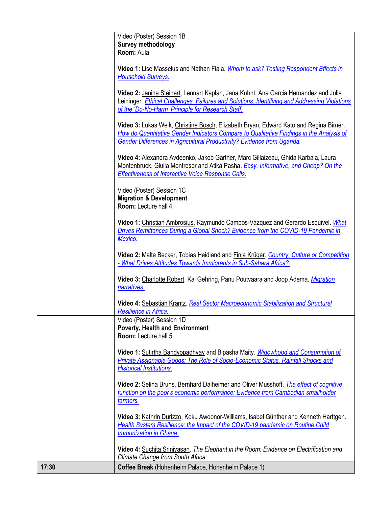|       | Video (Poster) Session 1B                                                                                                                                                                                                                                   |
|-------|-------------------------------------------------------------------------------------------------------------------------------------------------------------------------------------------------------------------------------------------------------------|
|       | Survey methodology                                                                                                                                                                                                                                          |
|       | Room: Aula                                                                                                                                                                                                                                                  |
|       |                                                                                                                                                                                                                                                             |
|       | Video 1: Lise Masselus and Nathan Fiala. Whom to ask? Testing Respondent Effects in<br><b>Household Surveys.</b>                                                                                                                                            |
|       | Video 2: Janina Steinert, Lennart Kaplan, Jana Kuhnt, Ana Garcia Hernandez and Julia<br>Leininger. Ethical Challenges, Failures and Solutions: Identifying and Addressing Violations                                                                        |
|       | of the 'Do-No-Harm' Principle for Research Staff.                                                                                                                                                                                                           |
|       | Video 3: Lukas Welk, Christine Bosch, Elizabeth Bryan, Edward Kato and Regina Birner.<br>How do Quantitative Gender Indicators Compare to Qualitative Findings in the Analysis of<br>Gender Differences in Agricultural Productivity? Evidence from Uganda. |
|       | Video 4: Alexandra Avdeenko, Jakob Gärtner, Marc Gillaizeau, Ghida Karbala, Laura<br>Montenbruck, Giulia Montresor and Atika Pasha. Easy, Informative, and Cheap? On the<br><b>Effectiveness of Interactive Voice Response Calls.</b>                       |
|       | Video (Poster) Session 1C                                                                                                                                                                                                                                   |
|       | <b>Migration &amp; Development</b>                                                                                                                                                                                                                          |
|       | Room: Lecture hall 4                                                                                                                                                                                                                                        |
|       |                                                                                                                                                                                                                                                             |
|       | Video 1: Christian Ambrosius, Raymundo Campos-Vázquez and Gerardo Esquivel. What                                                                                                                                                                            |
|       | Drives Remittances During a Global Shock? Evidence from the COVID-19 Pandemic in                                                                                                                                                                            |
|       | Mexico.                                                                                                                                                                                                                                                     |
|       |                                                                                                                                                                                                                                                             |
|       | Video 2: Malte Becker, Tobias Heidland and Finja Krüger. Country, Culture or Competition<br>- What Drives Attitudes Towards Immigrants in Sub-Sahara Africa?.                                                                                               |
|       | Video 3: Charlotte Robert, Kai Gehring, Panu Poutvaara and Joop Adema. Migration<br>narratives.                                                                                                                                                             |
|       | Video 4: Sebastian Krantz. Real Sector Macroeconomic Stabilization and Structural<br>Resilience in Africa.                                                                                                                                                  |
|       | Video (Poster) Session 1D                                                                                                                                                                                                                                   |
|       | <b>Poverty, Health and Environment</b>                                                                                                                                                                                                                      |
|       | Room: Lecture hall 5                                                                                                                                                                                                                                        |
|       |                                                                                                                                                                                                                                                             |
|       | Video 1: Sutirtha Bandyopadhyay and Bipasha Maity. Widowhood and Consumption of                                                                                                                                                                             |
|       | Private Assignable Goods: The Role of Socio-Economic Status, Rainfall Shocks and                                                                                                                                                                            |
|       | <b>Historical Institutions.</b>                                                                                                                                                                                                                             |
|       |                                                                                                                                                                                                                                                             |
|       | Video 2: Selina Bruns, Bernhard Dalheimer and Oliver Musshoff. <i>The effect of cognitive</i>                                                                                                                                                               |
|       | function on the poor's economic performance: Evidence from Cambodian smallholder                                                                                                                                                                            |
|       | farmers.                                                                                                                                                                                                                                                    |
|       |                                                                                                                                                                                                                                                             |
|       | Video 3: Kathrin Durizzo, Koku Awoonor-Williams, Isabel Günther and Kenneth Harttgen.                                                                                                                                                                       |
|       | Health System Resilience: the Impact of the COVID-19 pandemic on Routine Child<br><b>Immunization in Ghana.</b>                                                                                                                                             |
|       | Video 4: Suchita Srinivasan. The Elephant in the Room: Evidence on Electrification and                                                                                                                                                                      |
|       | Climate Change from South Africa.                                                                                                                                                                                                                           |
| 17:30 | Coffee Break (Hohenheim Palace, Hohenheim Palace 1)                                                                                                                                                                                                         |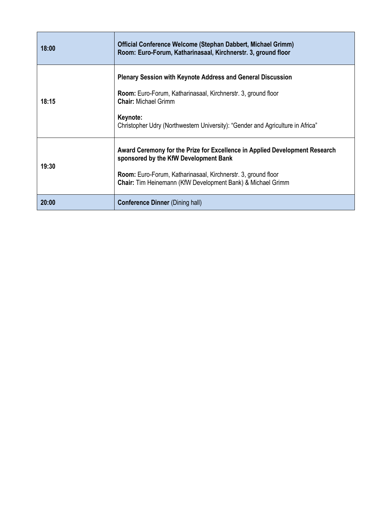| 18:00 | Official Conference Welcome (Stephan Dabbert, Michael Grimm)<br>Room: Euro-Forum, Katharinasaal, Kirchnerstr. 3, ground floor                                                                                                                                           |
|-------|-------------------------------------------------------------------------------------------------------------------------------------------------------------------------------------------------------------------------------------------------------------------------|
| 18:15 | <b>Plenary Session with Keynote Address and General Discussion</b><br><b>Room:</b> Euro-Forum, Katharinasaal, Kirchnerstr. 3, ground floor<br><b>Chair: Michael Grimm</b><br>Keynote:<br>Christopher Udry (Northwestern University): "Gender and Agriculture in Africa" |
| 19:30 | Award Ceremony for the Prize for Excellence in Applied Development Research<br>sponsored by the KfW Development Bank<br><b>Room:</b> Euro-Forum, Katharinasaal, Kirchnerstr. 3, ground floor<br>Chair: Tim Heinemann (KfW Development Bank) & Michael Grimm             |
| 20:00 | <b>Conference Dinner (Dining hall)</b>                                                                                                                                                                                                                                  |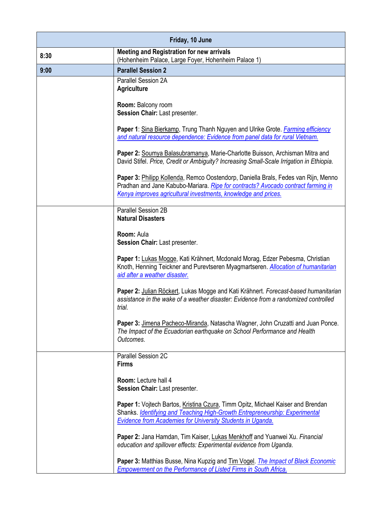| Friday, 10 June |                                                                                                                                                                                                                                          |
|-----------------|------------------------------------------------------------------------------------------------------------------------------------------------------------------------------------------------------------------------------------------|
| 8:30            | <b>Meeting and Registration for new arrivals</b><br>(Hohenheim Palace, Large Foyer, Hohenheim Palace 1)                                                                                                                                  |
| 9:00            | <b>Parallel Session 2</b>                                                                                                                                                                                                                |
|                 | Parallel Session 2A<br><b>Agriculture</b>                                                                                                                                                                                                |
|                 | Room: Balcony room<br>Session Chair: Last presenter.                                                                                                                                                                                     |
|                 | Paper 1: Sina Bierkamp, Trung Thanh Nguyen and Ulrike Grote. <i>Farming efficiency</i><br>and natural resource dependence: Evidence from panel data for rural Vietnam.                                                                   |
|                 | Paper 2: Soumya Balasubramanya, Marie-Charlotte Buisson, Archisman Mitra and<br>David Stifel. Price, Credit or Ambiguity? Increasing Small-Scale Irrigation in Ethiopia.                                                                 |
|                 | Paper 3: Philipp Kollenda, Remco Oostendorp, Daniella Brals, Fedes van Rijn, Menno<br>Pradhan and Jane Kabubo-Mariara. Ripe for contracts? Avocado contract farming in<br>Kenya improves agricultural investments, knowledge and prices. |
|                 | Parallel Session 2B<br><b>Natural Disasters</b>                                                                                                                                                                                          |
|                 | Room: Aula<br>Session Chair: Last presenter.                                                                                                                                                                                             |
|                 | Paper 1: Lukas Mogge, Kati Krähnert, Mcdonald Morag, Edzer Pebesma, Christian<br>Knoth, Henning Teickner and Purevtseren Myagmartseren. Allocation of humanitarian<br>aid after a weather disaster.                                      |
|                 | Paper 2: Julian Röckert, Lukas Mogge and Kati Krähnert. Forecast-based humanitarian<br>assistance in the wake of a weather disaster: Evidence from a randomized controlled<br>trial.                                                     |
|                 | Paper 3: Jimena Pacheco-Miranda, Natascha Wagner, John Cruzatti and Juan Ponce.<br>The Impact of the Ecuadorian earthquake on School Performance and Health<br>Outcomes.                                                                 |
|                 | Parallel Session 2C<br><b>Firms</b>                                                                                                                                                                                                      |
|                 | Room: Lecture hall 4<br>Session Chair: Last presenter.                                                                                                                                                                                   |
|                 | Paper 1: Vojtech Bartos, Kristina Czura, Timm Opitz, Michael Kaiser and Brendan<br>Shanks. Identifying and Teaching High-Growth Entrepreneurship: Experimental<br><b>Evidence from Academies for University Students in Uganda.</b>      |
|                 | Paper 2: Jana Hamdan, Tim Kaiser, Lukas Menkhoff and Yuanwei Xu. Financial<br>education and spillover effects: Experimental evidence from Uganda.                                                                                        |
|                 | Paper 3: Matthias Busse, Nina Kupzig and Tim Vogel. The Impact of Black Economic<br><b>Empowerment on the Performance of Listed Firms in South Africa.</b>                                                                               |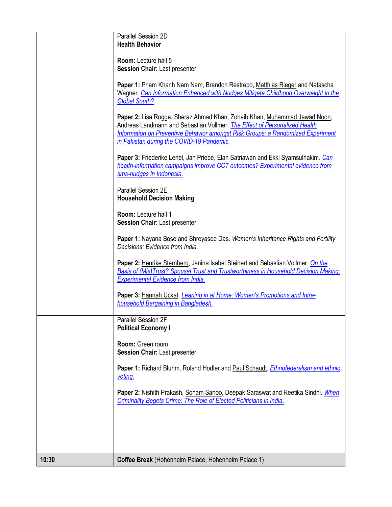|       | Parallel Session 2D<br><b>Health Behavior</b>                                                                                                                                                                                                                                          |
|-------|----------------------------------------------------------------------------------------------------------------------------------------------------------------------------------------------------------------------------------------------------------------------------------------|
|       | Room: Lecture hall 5<br>Session Chair: Last presenter.                                                                                                                                                                                                                                 |
|       | Paper 1: Pham Khanh Nam Nam, Brandon Restrepo, Matthias Rieger and Natascha<br>Wagner. Can Information Enhanced with Nudges Mitigate Childhood Overweight in the<br><b>Global South?</b>                                                                                               |
|       | Paper 2: Lisa Rogge, Sheraz Ahmad Khan, Zohaib Khan, Muhammad Jawad Noon,<br>Andreas Landmann and Sebastian Vollmer. The Effect of Personalized Health<br>Information on Preventive Behavior amongst Risk Groups: a Randomized Experiment<br>in Pakistan during the COVID-19 Pandemic. |
|       | Paper 3: Friederike Lenel, Jan Priebe, Elan Satriawan and Ekki Syamsulhakim. Can<br>health-information campaigns improve CCT outcomes? Experimental evidence from<br>sms-nudges in Indonesia.                                                                                          |
|       | Parallel Session 2E<br><b>Household Decision Making</b>                                                                                                                                                                                                                                |
|       | Room: Lecture hall 1<br>Session Chair: Last presenter.                                                                                                                                                                                                                                 |
|       | Paper 1: Nayana Bose and Shreyasee Das. Women's Inheritance Rights and Fertility<br>Decisions: Evidence from India.                                                                                                                                                                    |
|       | Paper 2: Henrike Sternberg, Janina Isabel Steinert and Sebastian Vollmer. On the<br>Basis of (Mis)Trust? Spousal Trust and Trustworthiness in Household Decision Making:<br><b>Experimental Evidence from India.</b>                                                                   |
|       | Paper 3: Hannah Uckat. Leaning in at Home: Women's Promotions and Intra-<br>household Bargaining in Bangladesh.                                                                                                                                                                        |
|       | <b>Parallel Session 2F</b><br><b>Political Economy I</b>                                                                                                                                                                                                                               |
|       | Room: Green room<br>Session Chair: Last presenter.                                                                                                                                                                                                                                     |
|       | Paper 1: Richard Bluhm, Roland Hodler and Paul Schaudt. Ethnofederalism and ethnic<br><u>voting.</u>                                                                                                                                                                                   |
|       | Paper 2: Nishith Prakash, Soham Sahoo, Deepak Saraswat and Reetika Sindhi. When<br>Criminality Begets Crime: The Role of Elected Politicians in India.                                                                                                                                 |
|       |                                                                                                                                                                                                                                                                                        |
|       |                                                                                                                                                                                                                                                                                        |
| 10:30 | Coffee Break (Hohenheim Palace, Hohenheim Palace 1)                                                                                                                                                                                                                                    |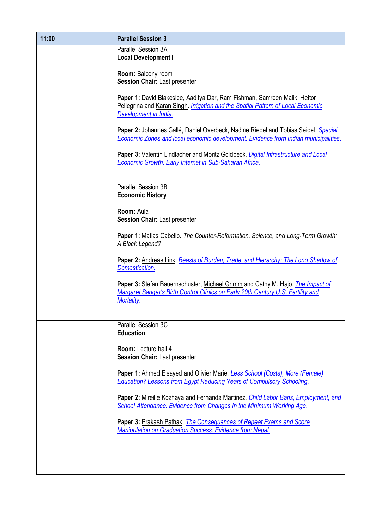| 11:00 | <b>Parallel Session 3</b>                                                                                                                                                              |
|-------|----------------------------------------------------------------------------------------------------------------------------------------------------------------------------------------|
|       | Parallel Session 3A<br><b>Local Development I</b>                                                                                                                                      |
|       | Room: Balcony room<br>Session Chair: Last presenter.                                                                                                                                   |
|       | Paper 1: David Blakeslee, Aaditya Dar, Ram Fishman, Samreen Malik, Heitor<br>Pellegrina and Karan Singh. Irrigation and the Spatial Pattern of Local Economic<br>Development in India. |
|       | Paper 2: Johannes Gallé, Daniel Overbeck, Nadine Riedel and Tobias Seidel. Special<br>Economic Zones and local economic development: Evidence from Indian municipalities.              |
|       | Paper 3: Valentin Lindlacher and Moritz Goldbeck. Digital Infrastructure and Local<br>Economic Growth: Early Internet in Sub-Saharan Africa.                                           |
|       | Parallel Session 3B<br><b>Economic History</b>                                                                                                                                         |
|       | Room: Aula<br>Session Chair: Last presenter.                                                                                                                                           |
|       | Paper 1: Matias Cabello. The Counter-Reformation, Science, and Long-Term Growth:<br>A Black Legend?                                                                                    |
|       | Paper 2: Andreas Link. Beasts of Burden, Trade, and Hierarchy: The Long Shadow of<br>Domestication.                                                                                    |
|       | Paper 3: Stefan Bauernschuster, Michael Grimm and Cathy M. Hajo. The Impact of<br>Margaret Sanger's Birth Control Clinics on Early 20th Century U.S. Fertility and<br>Mortality.       |
|       | Parallel Session 3C<br><b>Education</b>                                                                                                                                                |
|       | Room: Lecture hall 4<br>Session Chair: Last presenter.                                                                                                                                 |
|       | Paper 1: Ahmed Elsayed and Olivier Marie. Less School (Costs), More (Female)<br>Education? Lessons from Egypt Reducing Years of Compulsory Schooling.                                  |
|       | Paper 2: Mireille Kozhaya and Fernanda Martinez. Child Labor Bans, Employment, and<br>School Attendance: Evidence from Changes in the Minimum Working Age.                             |
|       | Paper 3: Prakash Pathak. The Consequences of Repeat Exams and Score<br>Manipulation on Graduation Success: Evidence from Nepal.                                                        |
|       |                                                                                                                                                                                        |
|       |                                                                                                                                                                                        |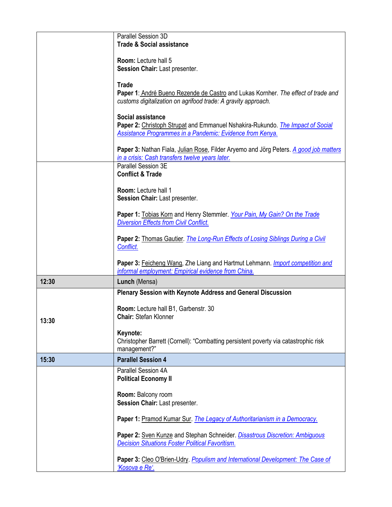|       | Parallel Session 3D<br><b>Trade &amp; Social assistance</b>                                                                                                             |
|-------|-------------------------------------------------------------------------------------------------------------------------------------------------------------------------|
|       | Room: Lecture hall 5<br>Session Chair: Last presenter.                                                                                                                  |
|       | <b>Trade</b><br>Paper 1: André Bueno Rezende de Castro and Lukas Kornher. The effect of trade and<br>customs digitalization on agrifood trade: A gravity approach.      |
|       | Social assistance<br>Paper 2: Christoph Strupat and Emmanuel Nshakira-Rukundo. The Impact of Social<br><b>Assistance Programmes in a Pandemic: Evidence from Kenya.</b> |
|       | Paper 3: Nathan Fiala, Julian Rose, Filder Aryemo and Jörg Peters. A good job matters<br>in a crisis: Cash transfers twelve years later.                                |
|       | Parallel Session 3E<br><b>Conflict &amp; Trade</b>                                                                                                                      |
|       | Room: Lecture hall 1<br>Session Chair: Last presenter.                                                                                                                  |
|       | Paper 1: Tobias Korn and Henry Stemmler. Your Pain, My Gain? On the Trade<br><b>Diversion Effects from Civil Conflict.</b>                                              |
|       | Paper 2: Thomas Gautier. The Long-Run Effects of Losing Siblings During a Civil<br>Conflict.                                                                            |
|       | Paper 3: Feicheng Wang, Zhe Liang and Hartmut Lehmann. Import competition and<br>informal employment: Empirical evidence from China.                                    |
| 12:30 | Lunch (Mensa)                                                                                                                                                           |
|       | Plenary Session with Keynote Address and General Discussion                                                                                                             |
| 13:30 | Room: Lecture hall B1, Garbenstr. 30<br>Chair: Stefan Klonner                                                                                                           |
|       | Keynote:<br>Christopher Barrett (Cornell): "Combatting persistent poverty via catastrophic risk<br>management?"                                                         |
| 15:30 | <b>Parallel Session 4</b>                                                                                                                                               |
|       | Parallel Session 4A<br><b>Political Economy II</b>                                                                                                                      |
|       | Room: Balcony room<br>Session Chair: Last presenter.                                                                                                                    |
|       | Paper 1: Pramod Kumar Sur. The Legacy of Authoritarianism in a Democracy.                                                                                               |
|       | Paper 2: Sven Kunze and Stephan Schneider. Disastrous Discretion: Ambiguous<br><b>Decision Situations Foster Political Favoritism.</b>                                  |
|       | Paper 3: Cleo O'Brien-Udry. Populism and International Development: The Case of<br>'Kosova e Re'.                                                                       |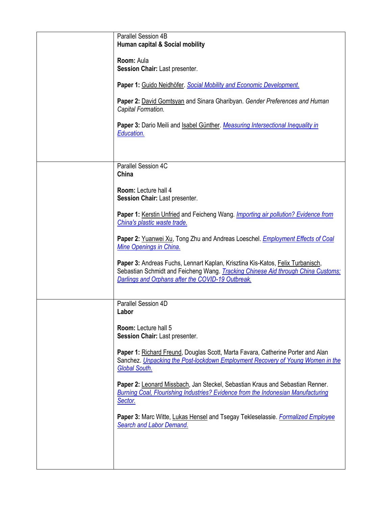| Parallel Session 4B<br>Human capital & Social mobility                                                                                                                                                                  |
|-------------------------------------------------------------------------------------------------------------------------------------------------------------------------------------------------------------------------|
| Room: Aula<br>Session Chair: Last presenter.                                                                                                                                                                            |
| Paper 1: Guido Neidhöfer. Social Mobility and Economic Development.                                                                                                                                                     |
| Paper 2: David Gomtsyan and Sinara Gharibyan. Gender Preferences and Human<br>Capital Formation.                                                                                                                        |
| Paper 3: Dario Meili and Isabel Günther. Measuring Intersectional Inequality in<br>Education.                                                                                                                           |
|                                                                                                                                                                                                                         |
| Parallel Session 4C<br>China                                                                                                                                                                                            |
| Room: Lecture hall 4<br>Session Chair: Last presenter.                                                                                                                                                                  |
| Paper 1: Kerstin Unfried and Feicheng Wang. Importing air pollution? Evidence from<br>China's plastic waste trade.                                                                                                      |
| Paper 2: Yuanwei Xu, Tong Zhu and Andreas Loeschel. <i>Employment Effects of Coal</i><br>Mine Openings in China.                                                                                                        |
| Paper 3: Andreas Fuchs, Lennart Kaplan, Krisztina Kis-Katos, Felix Turbanisch,<br>Sebastian Schmidt and Feicheng Wang. Tracking Chinese Aid through China Customs:<br>Darlings and Orphans after the COVID-19 Outbreak. |
| Parallel Session 4D<br>Labor                                                                                                                                                                                            |
| Room: Lecture hall 5<br>Session Chair: Last presenter.                                                                                                                                                                  |
| Paper 1: Richard Freund, Douglas Scott, Marta Favara, Catherine Porter and Alan<br>Sanchez. Unpacking the Post-lockdown Employment Recovery of Young Women in the<br><b>Global South.</b>                               |
| Paper 2: Leonard Missbach, Jan Steckel, Sebastian Kraus and Sebastian Renner.<br>Burning Coal, Flourishing Industries? Evidence from the Indonesian Manufacturing<br>Sector.                                            |
| Paper 3: Marc Witte, Lukas Hensel and Tsegay Tekleselassie. Formalized Employee<br>Search and Labor Demand.                                                                                                             |
|                                                                                                                                                                                                                         |
|                                                                                                                                                                                                                         |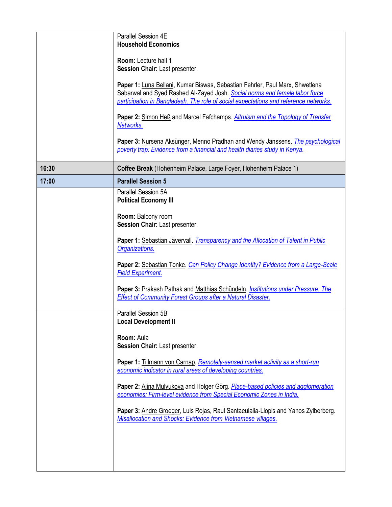|       | Parallel Session 4E<br><b>Household Economics</b>                                                                                                            |
|-------|--------------------------------------------------------------------------------------------------------------------------------------------------------------|
|       |                                                                                                                                                              |
|       | Room: Lecture hall 1<br>Session Chair: Last presenter.                                                                                                       |
|       | Paper 1: Luna Bellani, Kumar Biswas, Sebastian Fehrler, Paul Marx, Shwetlena                                                                                 |
|       | Sabarwal and Syed Rashed Al-Zayed Josh. Social norms and female labor force                                                                                  |
|       | participation in Bangladesh. The role of social expectations and reference networks.                                                                         |
|       | Paper 2: Simon Heß and Marcel Fafchamps. Altruism and the Topology of Transfer<br>Networks.                                                                  |
|       | Paper 3: Nursena Aksünger, Menno Pradhan and Wendy Janssens. The psychological<br>poverty trap: Evidence from a financial and health diaries study in Kenya. |
| 16:30 | Coffee Break (Hohenheim Palace, Large Foyer, Hohenheim Palace 1)                                                                                             |
| 17:00 | <b>Parallel Session 5</b>                                                                                                                                    |
|       | Parallel Session 5A<br><b>Political Economy III</b>                                                                                                          |
|       | Room: Balcony room<br>Session Chair: Last presenter.                                                                                                         |
|       | Paper 1: Sebastian Jävervall. Transparency and the Allocation of Talent in Public                                                                            |
|       | Organizations.                                                                                                                                               |
|       | Paper 2: Sebastian Tonke. Can Policy Change Identity? Evidence from a Large-Scale<br><b>Field Experiment.</b>                                                |
|       | Paper 3: Prakash Pathak and Matthias Schündeln. Institutions under Pressure: The<br><b>Effect of Community Forest Groups after a Natural Disaster.</b>       |
|       | Parallel Session 5B<br><b>Local Development II</b>                                                                                                           |
|       | Room: Aula<br>Session Chair: Last presenter.                                                                                                                 |
|       | Paper 1: Tillmann von Carnap. Remotely-sensed market activity as a short-run<br>economic indicator in rural areas of developing countries.                   |
|       | Paper 2: Alina Mulyukova and Holger Görg. Place-based policies and agglomeration<br>economies: Firm-level evidence from Special Economic Zones in India.     |
|       | Paper 3: Andre Groeger, Luis Rojas, Raul Santaeulalia-Llopis and Yanos Zylberberg.<br>Misallocation and Shocks: Evidence from Vietnamese villages.           |
|       |                                                                                                                                                              |
|       |                                                                                                                                                              |
|       |                                                                                                                                                              |
|       |                                                                                                                                                              |